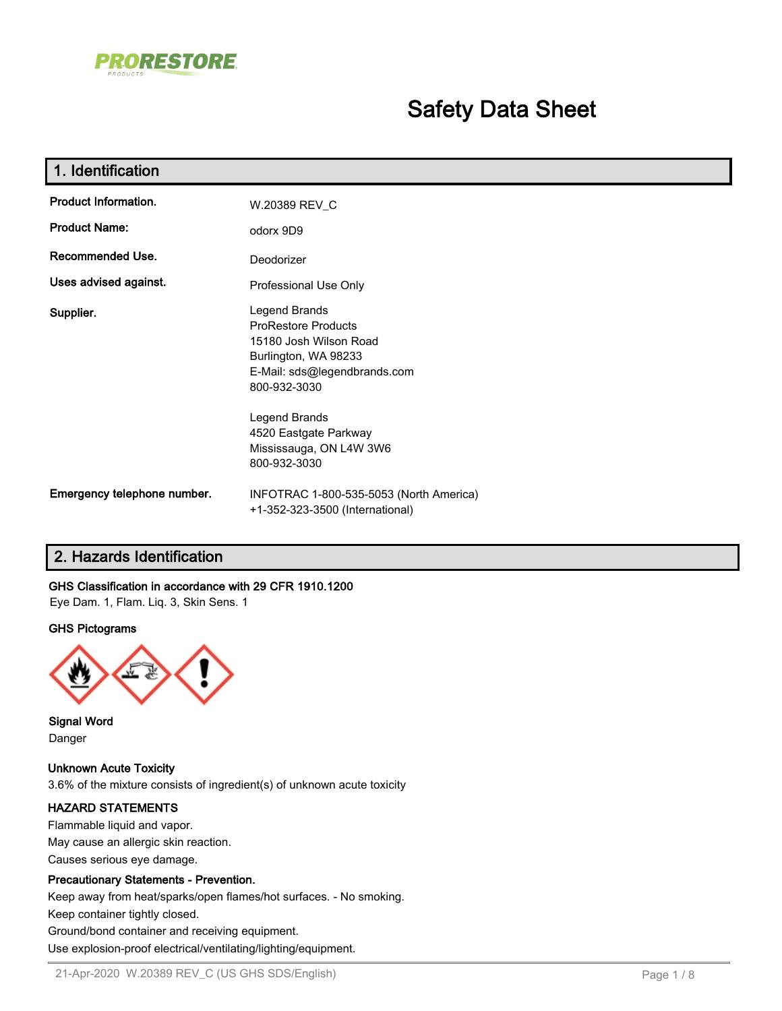

# **Safety Data Sheet**

| 1. Identification           |                                                                                                                                               |
|-----------------------------|-----------------------------------------------------------------------------------------------------------------------------------------------|
| Product Information.        | W.20389 REV_C                                                                                                                                 |
| <b>Product Name:</b>        | odorx 9D9                                                                                                                                     |
| Recommended Use.            | Deodorizer                                                                                                                                    |
| Uses advised against.       | Professional Use Only                                                                                                                         |
| Supplier.                   | Legend Brands<br><b>ProRestore Products</b><br>15180 Josh Wilson Road<br>Burlington, WA 98233<br>E-Mail: sds@legendbrands.com<br>800-932-3030 |
|                             | Legend Brands<br>4520 Eastgate Parkway<br>Mississauga, ON L4W 3W6<br>800-932-3030                                                             |
| Emergency telephone number. | INFOTRAC 1-800-535-5053 (North America)<br>+1-352-323-3500 (International)                                                                    |

### **2. Hazards Identification**

### **GHS Classification in accordance with 29 CFR 1910.1200**

Eye Dam. 1, Flam. Liq. 3, Skin Sens. 1

### **GHS Pictograms**



**Signal Word** Danger

**Unknown Acute Toxicity** 3.6% of the mixture consists of ingredient(s) of unknown acute toxicity

### **HAZARD STATEMENTS**

Flammable liquid and vapor. May cause an allergic skin reaction. Causes serious eye damage.

### **Precautionary Statements - Prevention.**

Keep away from heat/sparks/open flames/hot surfaces. - No smoking.

Keep container tightly closed.

Ground/bond container and receiving equipment.

Use explosion-proof electrical/ventilating/lighting/equipment.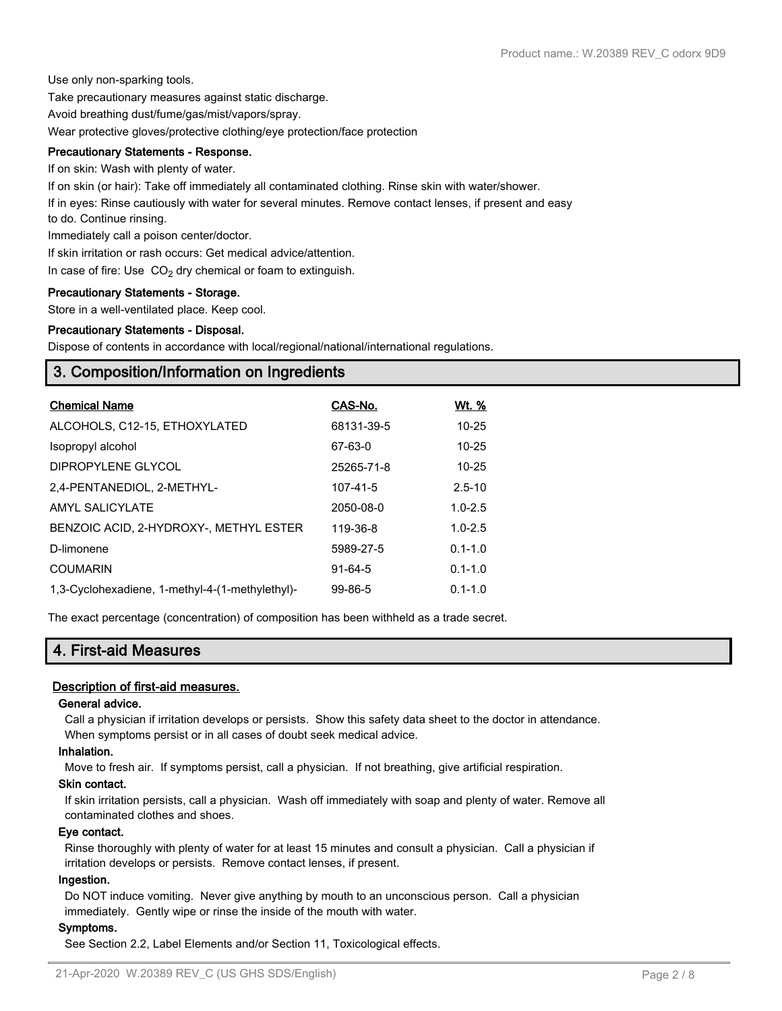Use only non-sparking tools.

Take precautionary measures against static discharge.

Avoid breathing dust/fume/gas/mist/vapors/spray.

Wear protective gloves/protective clothing/eye protection/face protection

### **Precautionary Statements - Response.**

If on skin: Wash with plenty of water.

If on skin (or hair): Take off immediately all contaminated clothing. Rinse skin with water/shower.

If in eyes: Rinse cautiously with water for several minutes. Remove contact lenses, if present and easy

to do. Continue rinsing.

Immediately call a poison center/doctor.

If skin irritation or rash occurs: Get medical advice/attention.

In case of fire: Use  $CO<sub>2</sub>$  dry chemical or foam to extinguish.

### **Precautionary Statements - Storage.**

Store in a well-ventilated place. Keep cool.

### **Precautionary Statements - Disposal.**

Dispose of contents in accordance with local/regional/national/international regulations.

### **3. Composition/Information on Ingredients**

| <b>Chemical Name</b>                            | CAS-No.       | Wt. %       |
|-------------------------------------------------|---------------|-------------|
| ALCOHOLS, C12-15, ETHOXYLATED                   | 68131-39-5    | $10 - 25$   |
| Isopropyl alcohol                               | 67-63-0       | $10 - 25$   |
| DIPROPYLENE GLYCOL                              | 25265-71-8    | $10 - 25$   |
| 2,4-PENTANEDIOL, 2-METHYL-                      | 107-41-5      | $2.5 - 10$  |
| AMYL SALICYLATE                                 | 2050-08-0     | $1.0 - 2.5$ |
| BENZOIC ACID. 2-HYDROXY-. METHYL ESTER          | 119-36-8      | $1.0 - 2.5$ |
| D-limonene                                      | 5989-27-5     | $0.1 - 1.0$ |
| <b>COUMARIN</b>                                 | $91 - 64 - 5$ | $0.1 - 1.0$ |
| 1,3-Cyclohexadiene, 1-methyl-4-(1-methylethyl)- | $99 - 86 - 5$ | $0.1 - 1.0$ |

The exact percentage (concentration) of composition has been withheld as a trade secret.

### **4. First-aid Measures**

### **Description of first-aid measures.**

### **General advice.**

Call a physician if irritation develops or persists. Show this safety data sheet to the doctor in attendance. When symptoms persist or in all cases of doubt seek medical advice.

### **Inhalation.**

Move to fresh air. If symptoms persist, call a physician. If not breathing, give artificial respiration.

### **Skin contact.**

If skin irritation persists, call a physician. Wash off immediately with soap and plenty of water. Remove all contaminated clothes and shoes.

### **Eye contact.**

Rinse thoroughly with plenty of water for at least 15 minutes and consult a physician. Call a physician if irritation develops or persists. Remove contact lenses, if present.

### **Ingestion.**

Do NOT induce vomiting. Never give anything by mouth to an unconscious person. Call a physician immediately. Gently wipe or rinse the inside of the mouth with water.

### **Symptoms.**

See Section 2.2, Label Elements and/or Section 11, Toxicological effects.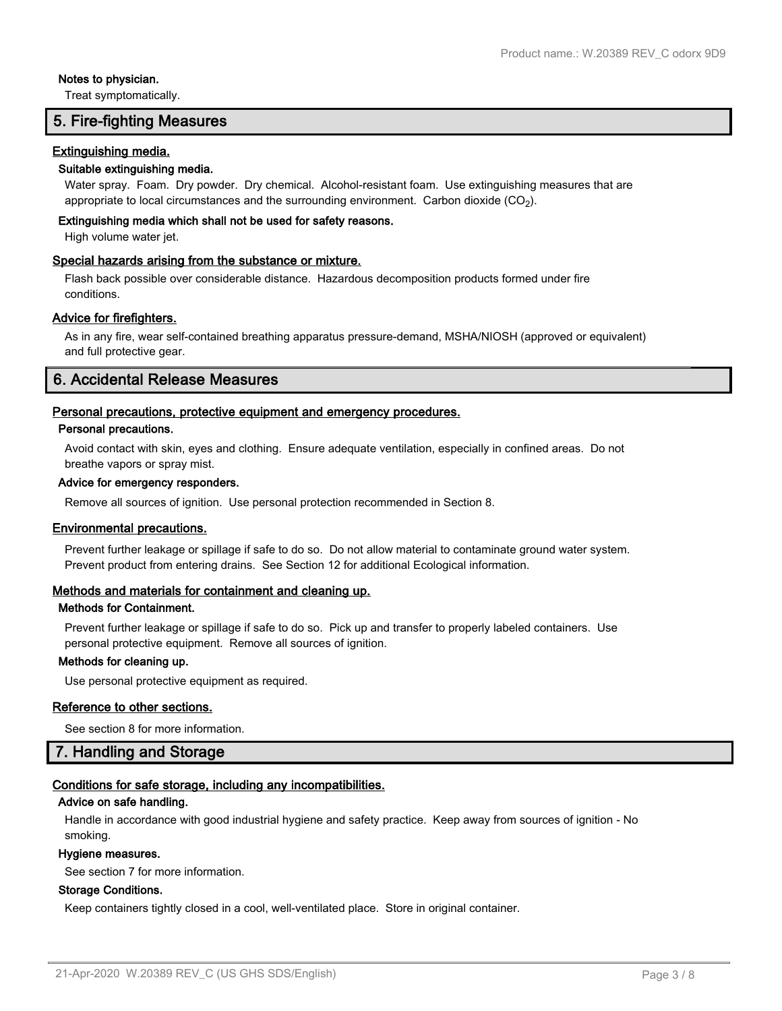### **Notes to physician.**

Treat symptomatically.

### **5. Fire-fighting Measures**

### **Extinguishing media.**

### **Suitable extinguishing media.**

Water spray. Foam. Dry powder. Dry chemical. Alcohol-resistant foam. Use extinguishing measures that are appropriate to local circumstances and the surrounding environment.  $\rm \, Carbon$  dioxide  $\rm (CO_2).$ 

### **Extinguishing media which shall not be used for safety reasons.**

High volume water jet.

### **Special hazards arising from the substance or mixture.**

Flash back possible over considerable distance. Hazardous decomposition products formed under fire conditions.

### **Advice for firefighters.**

As in any fire, wear self-contained breathing apparatus pressure-demand, MSHA/NIOSH (approved or equivalent) and full protective gear.

### **6. Accidental Release Measures**

### **Personal precautions, protective equipment and emergency procedures.**

### **Personal precautions.**

Avoid contact with skin, eyes and clothing. Ensure adequate ventilation, especially in confined areas. Do not breathe vapors or spray mist.

### **Advice for emergency responders.**

Remove all sources of ignition. Use personal protection recommended in Section 8.

### **Environmental precautions.**

Prevent further leakage or spillage if safe to do so. Do not allow material to contaminate ground water system. Prevent product from entering drains. See Section 12 for additional Ecological information.

### **Methods and materials for containment and cleaning up.**

### **Methods for Containment.**

Prevent further leakage or spillage if safe to do so. Pick up and transfer to properly labeled containers. Use personal protective equipment. Remove all sources of ignition.

### **Methods for cleaning up.**

Use personal protective equipment as required.

### **Reference to other sections.**

See section 8 for more information.

### **7. Handling and Storage**

### **Conditions for safe storage, including any incompatibilities.**

### **Advice on safe handling.**

Handle in accordance with good industrial hygiene and safety practice. Keep away from sources of ignition - No smoking.

### **Hygiene measures.**

See section 7 for more information.

### **Storage Conditions.**

Keep containers tightly closed in a cool, well-ventilated place. Store in original container.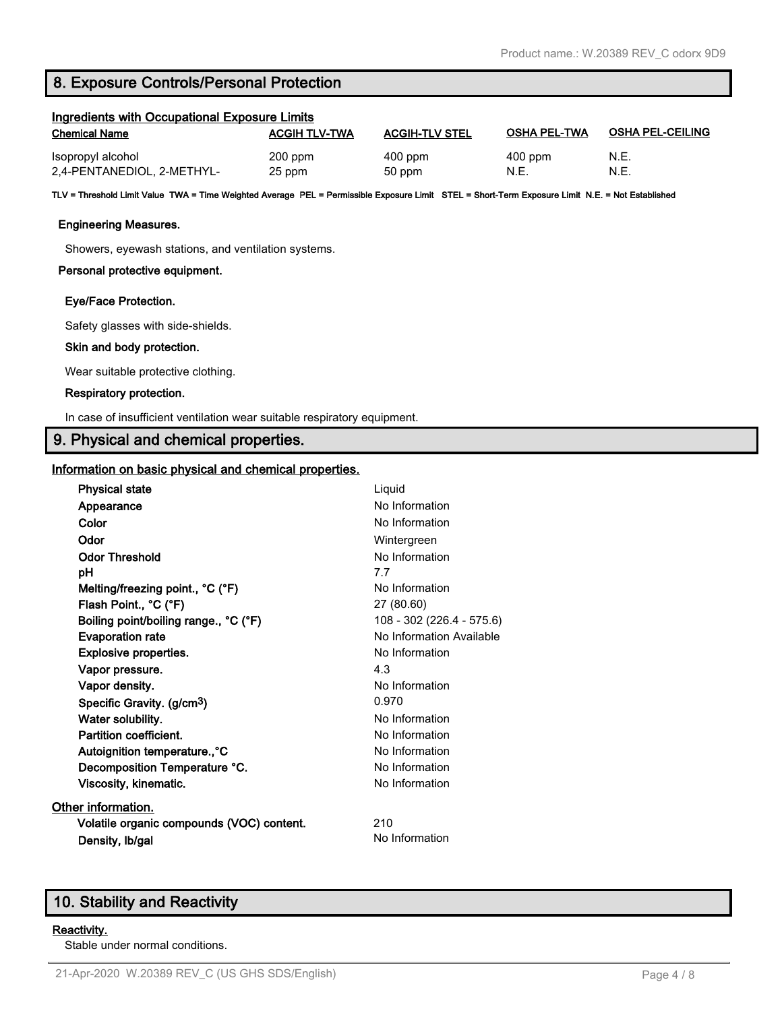### **8. Exposure Controls/Personal Protection**

| Ingredients with Occupational Exposure Limits |                      |                       |                     |                         |
|-----------------------------------------------|----------------------|-----------------------|---------------------|-------------------------|
| <b>Chemical Name</b>                          | <b>ACGIH TLV-TWA</b> | <b>ACGIH-TLV STEL</b> | <b>OSHA PEL-TWA</b> | <b>OSHA PEL-CEILING</b> |
| Isopropyl alcohol                             | $200$ ppm            | $400$ ppm             | $400$ ppm           | N.E.                    |
| 2,4-PENTANEDIOL, 2-METHYL-                    | 25 ppm               | 50 ppm                | N.E.                | N.E                     |

**TLV = Threshold Limit Value TWA = Time Weighted Average PEL = Permissible Exposure Limit STEL = Short-Term Exposure Limit N.E. = Not Established**

### **Engineering Measures.**

Showers, eyewash stations, and ventilation systems.

### **Personal protective equipment.**

### **Eye/Face Protection.**

Safety glasses with side-shields.

### **Skin and body protection.**

Wear suitable protective clothing.

### **Respiratory protection.**

In case of insufficient ventilation wear suitable respiratory equipment.

### **9. Physical and chemical properties.**

### **Information on basic physical and chemical properties.**

| <b>Physical state</b>                     | Liquid                    |
|-------------------------------------------|---------------------------|
| Appearance                                | No Information            |
| Color                                     | No Information            |
| Odor                                      | Wintergreen               |
| <b>Odor Threshold</b>                     | No Information            |
| рH                                        | 7.7                       |
| Melting/freezing point., °C (°F)          | No Information            |
| Flash Point., °C (°F)                     | 27 (80.60)                |
| Boiling point/boiling range., °C (°F)     | 108 - 302 (226.4 - 575.6) |
| <b>Evaporation rate</b>                   | No Information Available  |
| Explosive properties.                     | No Information            |
| Vapor pressure.                           | 4.3                       |
| Vapor density.                            | No Information            |
| Specific Gravity. (g/cm <sup>3</sup> )    | 0.970                     |
| Water solubility.                         | No Information            |
| Partition coefficient.                    | No Information            |
| Autoignition temperature., °C             | No Information            |
| Decomposition Temperature °C.             | No Information            |
| Viscosity, kinematic.                     | No Information            |
| Other information.                        |                           |
| Volatile organic compounds (VOC) content. | 210                       |
| Density, Ib/gal                           | No Information            |
|                                           |                           |

### **10. Stability and Reactivity**

### **Reactivity.**

Stable under normal conditions.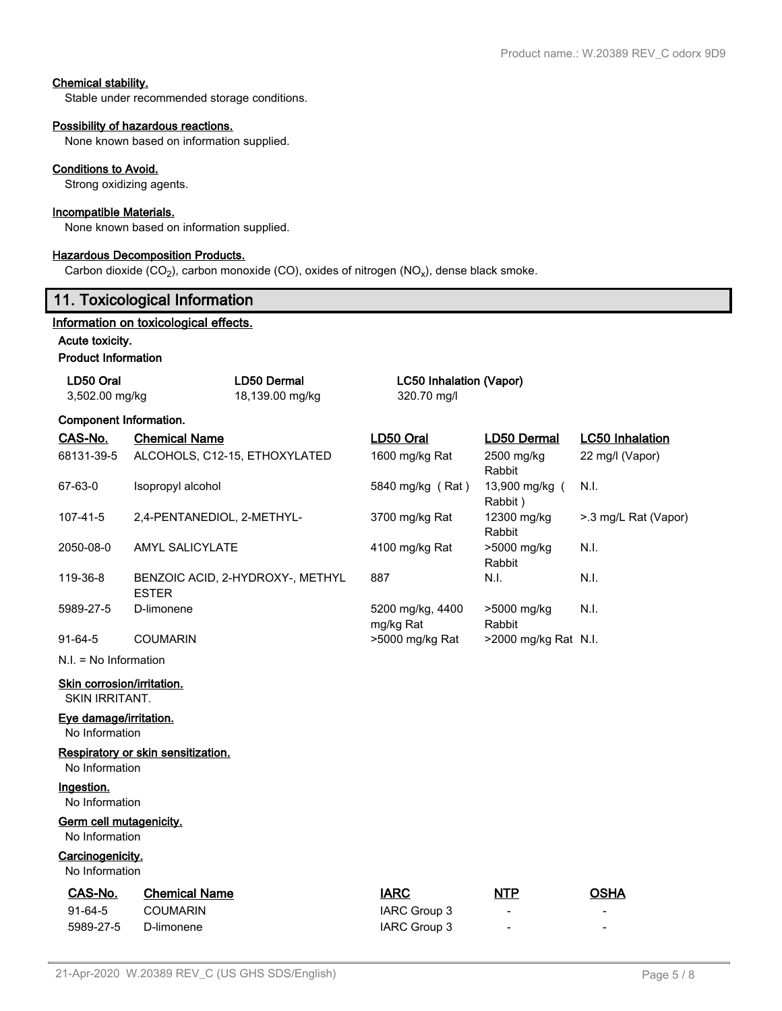### **Chemical stability.**

Stable under recommended storage conditions.

### **Possibility of hazardous reactions.**

None known based on information supplied.

### **Conditions to Avoid.**

Strong oxidizing agents.

### **Incompatible Materials.**

None known based on information supplied.

#### **Hazardous Decomposition Products.**

Carbon dioxide (CO<sub>2</sub>), carbon monoxide (CO), oxides of nitrogen (NO<sub>x</sub>), dense black smoke.

### **11. Toxicological Information**

### **Information on toxicological effects.**

**Acute toxicity.**

#### **Product Information**

| LD50 Oral<br>3,502.00 mg/kg | LD50 Dermal<br>18,139.00 mg/kg                   | LC50 Inhalation (Vapor)<br>320.70 mg/l |                           |                        |
|-----------------------------|--------------------------------------------------|----------------------------------------|---------------------------|------------------------|
| Component Information.      |                                                  |                                        |                           |                        |
| <u>CAS-No.</u>              | <b>Chemical Name</b>                             | LD50 Oral                              | <b>LD50 Dermal</b>        | <b>LC50 Inhalation</b> |
| 68131-39-5                  | ALCOHOLS, C12-15, ETHOXYLATED                    | 1600 mg/kg Rat                         | 2500 mg/kg<br>Rabbit      | 22 mg/l (Vapor)        |
| 67-63-0                     | Isopropyl alcohol                                | 5840 mg/kg (Rat)                       | 13,900 mg/kg (<br>Rabbit) | N.I.                   |
| 107-41-5                    | 2,4-PENTANEDIOL, 2-METHYL-                       | 3700 mg/kg Rat                         | 12300 mg/kg<br>Rabbit     | >.3 mg/L Rat (Vapor)   |
| 2050-08-0                   | <b>AMYL SALICYLATE</b>                           | 4100 mg/kg Rat                         | >5000 mg/kg<br>Rabbit     | N.I.                   |
| 119-36-8                    | BENZOIC ACID, 2-HYDROXY-, METHYL<br><b>ESTER</b> | 887                                    | N.I.                      | N.I.                   |
| 5989-27-5                   | D-limonene                                       | 5200 mg/kg, 4400<br>mg/kg Rat          | >5000 mg/kg<br>Rabbit     | N.I.                   |
| $91 - 64 - 5$               | <b>COUMARIN</b>                                  | >5000 mg/kg Rat                        | $>2000$ mg/kg Rat N.I.    |                        |
| $N.I. = No Information$     |                                                  |                                        |                           |                        |
|                             |                                                  |                                        |                           |                        |

### **Skin corrosion/irritation.**

SKIN IRRITANT.

### **Eye damage/irritation.**

No Information

#### **Respiratory or skin sensitization.** No Information

**Ingestion.**

No Information

### **Germ cell mutagenicity.**

No Information

### **Carcinogenicity.**

No Information

| CAS-No.   | <b>Chemical Name</b> | <u>IARC</u>  | <u>NTP</u>               | <b>OSHA</b>              |
|-----------|----------------------|--------------|--------------------------|--------------------------|
| $91-64-5$ | <b>COUMARIN</b>      | IARC Group 3 | $\overline{\phantom{a}}$ | $\overline{\phantom{0}}$ |
| 5989-27-5 | D-limonene           | IARC Group 3 | $\overline{\phantom{0}}$ | $\overline{\phantom{0}}$ |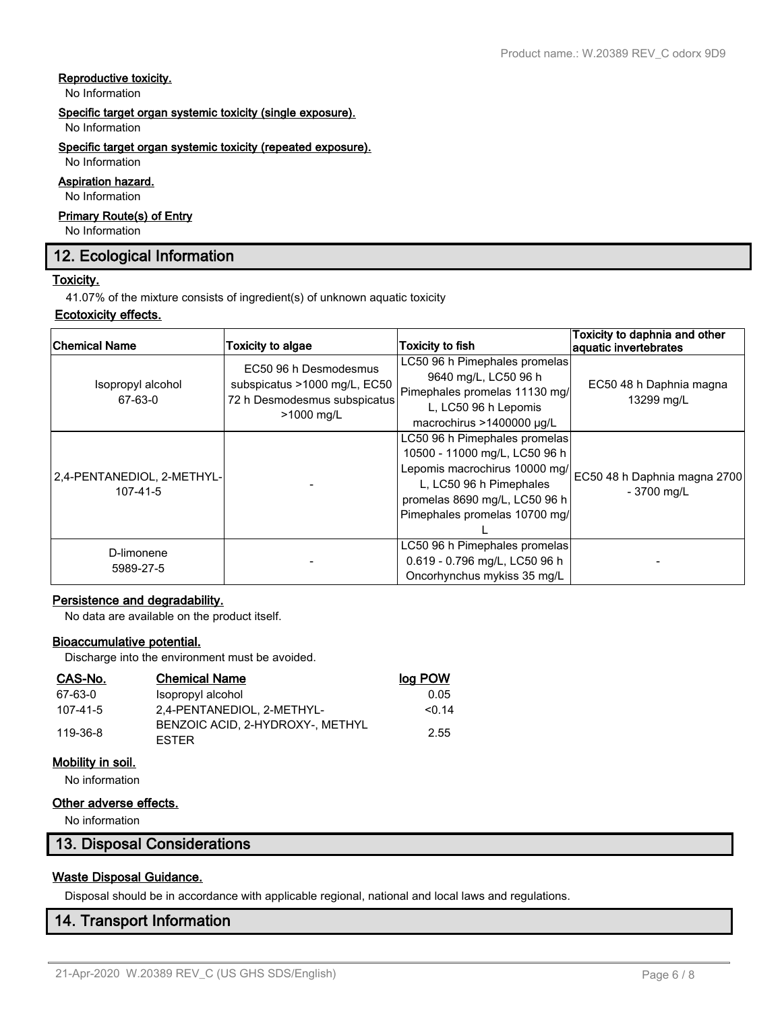### **Reproductive toxicity.**

No Information

### **Specific target organ systemic toxicity (single exposure).**

No Information

### **Specific target organ systemic toxicity (repeated exposure).**

No Information

### **Aspiration hazard.**

No Information

### **Primary Route(s) of Entry**

No Information

### **12. Ecological Information**

### **Toxicity.**

41.07% of the mixture consists of ingredient(s) of unknown aquatic toxicity

### **Ecotoxicity effects.**

| <b>Chemical Name</b>                   | <b>Toxicity to algae</b>                                                                            | <b>Toxicity to fish</b>                                                                                                                                                                      | Toxicity to daphnia and other<br>aquatic invertebrates |
|----------------------------------------|-----------------------------------------------------------------------------------------------------|----------------------------------------------------------------------------------------------------------------------------------------------------------------------------------------------|--------------------------------------------------------|
| Isopropyl alcohol<br>67-63-0           | EC50 96 h Desmodesmus<br>subspicatus >1000 mg/L, EC50<br>72 h Desmodesmus subspicatus<br>>1000 mg/L | LC50 96 h Pimephales promelas<br>9640 mg/L, LC50 96 h<br>Pimephales promelas 11130 mg/<br>L, LC50 96 h Lepomis<br>macrochirus >1400000 µg/L                                                  | EC50 48 h Daphnia magna<br>13299 mg/L                  |
| 2.4-PENTANEDIOL, 2-METHYL-<br>107-41-5 |                                                                                                     | LC50 96 h Pimephales promelas<br>10500 - 11000 mg/L, LC50 96 h<br>Lepomis macrochirus 10000 mg/<br>L, LC50 96 h Pimephales<br>promelas 8690 mg/L, LC50 96 h<br>Pimephales promelas 10700 mg/ | EC50 48 h Daphnia magna 2700<br>- 3700 mg/L            |
| D-limonene<br>5989-27-5                |                                                                                                     | LC50 96 h Pimephales promelas<br>0.619 - 0.796 mg/L, LC50 96 h<br>Oncorhynchus mykiss 35 mg/L                                                                                                |                                                        |

### **Persistence and degradability.**

No data are available on the product itself.

### **Bioaccumulative potential.**

Discharge into the environment must be avoided.

| CAS-No.  | <b>Chemical Name</b>                             | <u>log POW</u> |
|----------|--------------------------------------------------|----------------|
| 67-63-0  | Isopropyl alcohol                                | 0.05           |
| 107-41-5 | 2.4-PENTANEDIOL, 2-METHYL-                       | < 0.14         |
| 119-36-8 | BENZOIC ACID. 2-HYDROXY-. METHYL<br><b>FSTER</b> | 2.55           |

### **Mobility in soil.**

No information

### **Other adverse effects.**

No information

### **13. Disposal Considerations**

### **Waste Disposal Guidance.**

Disposal should be in accordance with applicable regional, national and local laws and regulations.

### **14. Transport Information**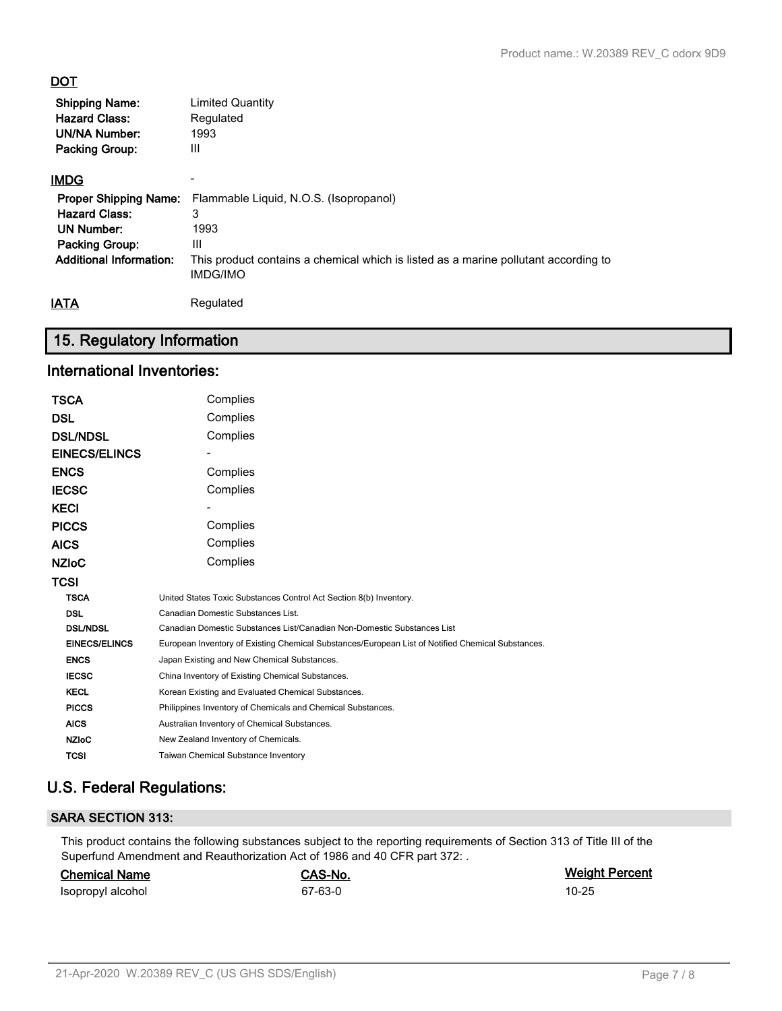### **DOT**

| <b>Shipping Name:</b>                        | <b>Limited Quantity</b>                                      |
|----------------------------------------------|--------------------------------------------------------------|
| <b>Hazard Class:</b><br><b>UN/NA Number:</b> | Regulated<br>1993                                            |
| <b>Packing Group:</b>                        | Ш                                                            |
|                                              |                                                              |
| <b>IMDG</b>                                  |                                                              |
|                                              | Proper Shipping Name: Flammable Liquid, N.O.S. (Isopropanol) |
| <b>Hazard Class:</b>                         |                                                              |

| <b>Hazard Class:</b>           |                                                                                                        |
|--------------------------------|--------------------------------------------------------------------------------------------------------|
| UN Number:                     | 1993                                                                                                   |
| <b>Packing Group:</b>          | Ш                                                                                                      |
| <b>Additional Information:</b> | This product contains a chemical which is listed as a marine pollutant according to<br><b>IMDG/IMO</b> |
| IATA                           | Regulated                                                                                              |

## **15. Regulatory Information**

### **International Inventories:**

| TSCA                 | Complies                                                                                          |
|----------------------|---------------------------------------------------------------------------------------------------|
| DSL                  | Complies                                                                                          |
| <b>DSL/NDSL</b>      | Complies                                                                                          |
| <b>EINECS/ELINCS</b> |                                                                                                   |
| ENCS                 | Complies                                                                                          |
| IECSC                | Complies                                                                                          |
| KECI                 |                                                                                                   |
| <b>PICCS</b>         | Complies                                                                                          |
| AICS                 | Complies                                                                                          |
| NZIoC                | Complies                                                                                          |
| TCSI                 |                                                                                                   |
| <b>TSCA</b>          | United States Toxic Substances Control Act Section 8(b) Inventory.                                |
| <b>DSL</b>           | Canadian Domestic Substances List.                                                                |
| <b>DSL/NDSL</b>      | Canadian Domestic Substances List/Canadian Non-Domestic Substances List                           |
| <b>EINECS/ELINCS</b> | European Inventory of Existing Chemical Substances/European List of Notified Chemical Substances. |
| <b>ENCS</b>          | Japan Existing and New Chemical Substances.                                                       |
| <b>IECSC</b>         | China Inventory of Existing Chemical Substances.                                                  |
| <b>KECL</b>          | Korean Existing and Evaluated Chemical Substances.                                                |
| <b>PICCS</b>         | Philippines Inventory of Chemicals and Chemical Substances.                                       |
| <b>AICS</b>          | Australian Inventory of Chemical Substances.                                                      |
| <b>NZIoC</b>         | New Zealand Inventory of Chemicals.                                                               |
| <b>TCSI</b>          | Taiwan Chemical Substance Inventory                                                               |
|                      |                                                                                                   |

### **U.S. Federal Regulations:**

### **SARA SECTION 313:**

This product contains the following substances subject to the reporting requirements of Section 313 of Title III of the Superfund Amendment and Reauthorization Act of 1986 and 40 CFR part 372: .

| <b>Chemical Name</b> | CAS-No. | <b>Weight Percent</b> |
|----------------------|---------|-----------------------|
| Isopropyl alcohol    | 67-63-0 | $10 - 25$             |